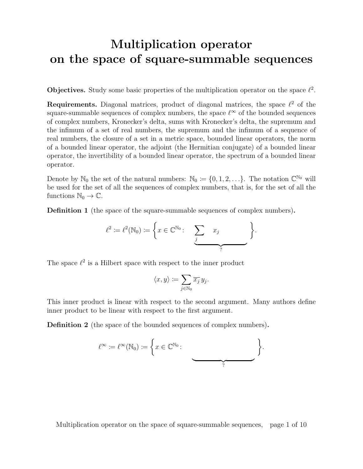# Multiplication operator on the space of square-summable sequences

**Objectives.** Study some basic properties of the multiplication operator on the space  $\ell^2$ .

**Requirements.** Diagonal matrices, product of diagonal matrices, the space  $\ell^2$  of the square-summable sequences of complex numbers, the space  $\ell^{\infty}$  of the bounded sequences of complex numbers, Kronecker's delta, sums with Kronecker's delta, the supremum and the infimum of a set of real numbers, the supremum and the infimum of a sequence of real numbers, the closure of a set in a metric space, bounded linear operators, the norm of a bounded linear operator, the adjoint (the Hermitian conjugate) of a bounded linear operator, the invertibility of a bounded linear operator, the spectrum of a bounded linear operator.

Denote by  $\mathbb{N}_0$  the set of the natural numbers:  $\mathbb{N}_0 \coloneqq \{0, 1, 2, \ldots\}$ . The notation  $\mathbb{C}^{\mathbb{N}_0}$  will be used for the set of all the sequences of complex numbers, that is, for the set of all the functions  $\mathbb{N}_0 \to \mathbb{C}$ .

Definition 1 (the space of the square-summable sequences of complex numbers).

$$
\ell^2 := \ell^2(\mathbb{N}_0) := \left\{ x \in \mathbb{C}^{\mathbb{N}_0} : \sum_j x_j \sum_j x_j \right\}.
$$

The space  $\ell^2$  is a Hilbert space with respect to the inner product

$$
\langle x, y \rangle := \sum_{j \in \mathbb{N}_0} \overline{x_j} \, y_j.
$$

This inner product is linear with respect to the second argument. Many authors define inner product to be linear with respect to the first argument.

Definition 2 (the space of the bounded sequences of complex numbers).

$$
\ell^{\infty} := \ell^{\infty}(\mathbb{N}_0) := \left\{ x \in \mathbb{C}^{\mathbb{N}_0} : \underbrace{\qquad \qquad }_{?} \right\}.
$$

Multiplication operator on the space of square-summable sequences, page 1 of 10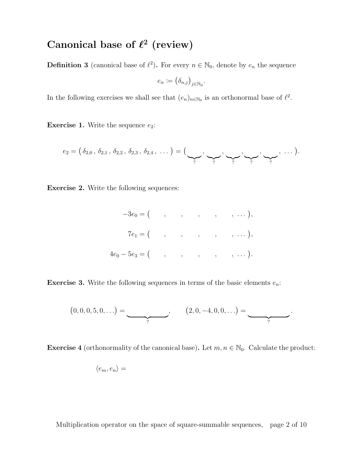## Canonical base of  $\ell^2$  (review)

**Definition 3** (canonical base of  $\ell^2$ ). For every  $n \in \mathbb{N}_0$ , denote by  $e_n$  the sequence

$$
e_n \coloneqq \left(\delta_{n,j}\right)_{j \in \mathbb{N}_0}.
$$

In the following exercises we shall see that  $(e_n)_{n \in \mathbb{N}_0}$  is an orthonormal base of  $\ell^2$ .

**Exercise 1.** Write the sequence  $e_2$ :

$$
e_2 = (\delta_{2,0}\,,\,\delta_{2,1}\,,\,\delta_{2,2}\,,\,\delta_{2,3}\,,\,\delta_{2,4}\,,\,\dots) = (\underbrace{\bullet\bullet}_{?}\,,\,\underbrace{\bullet\bullet\bullet}_{?}\,,\,\underbrace{\bullet\bullet\bullet}_{?}\,,\,\underbrace{\bullet\bullet\bullet}_{?}\,,\,\dots).
$$

Exercise 2. Write the following sequences:

$$
-3e_0 = ( , , , , , , , , , ... ),
$$
  
\n
$$
7e_1 = ( , , , , , , , , ... ),
$$
  
\n
$$
4e_0 - 5e_3 = ( , , , , , , , ... ).
$$

**Exercise 3.** Write the following sequences in terms of the basic elements  $e_n$ :

$$
(0,0,0,5,0,...) = \underbrace{(2,0,-4,0,0,...)}_{?}.
$$

**Exercise 4** (orthonormality of the canonical base). Let  $m, n \in \mathbb{N}_0$ . Calculate the product:

$$
\langle e_m, e_n \rangle =
$$

Multiplication operator on the space of square-summable sequences, page 2 of 10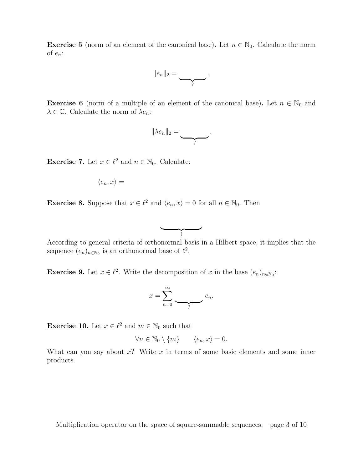**Exercise 5** (norm of an element of the canonical base). Let  $n \in \mathbb{N}_0$ . Calculate the norm of  $e_n$ :

$$
||e_n||_2=\underbrace{\qquad \qquad }_{?}.
$$

**Exercise 6** (norm of a multiple of an element of the canonical base). Let  $n \in \mathbb{N}_0$  and  $\lambda \in \mathbb{C}$ . Calculate the norm of  $\lambda e_n$ :

$$
\|\lambda e_n\|_2=\underbrace{\qquad \qquad }_{?}
$$

.

**Exercise 7.** Let  $x \in \ell^2$  and  $n \in \mathbb{N}_0$ . Calculate:

$$
\langle e_n, x \rangle =
$$

**Exercise 8.** Suppose that  $x \in \ell^2$  and  $\langle e_n, x \rangle = 0$  for all  $n \in \mathbb{N}_0$ . Then



According to general criteria of orthonormal basis in a Hilbert space, it implies that the sequence  $(e_n)_{n \in \mathbb{N}_0}$  is an orthonormal base of  $\ell^2$ .

**Exercise 9.** Let  $x \in \ell^2$ . Write the decomposition of x in the base  $(e_n)_{n \in \mathbb{N}_0}$ :

$$
x = \sum_{n=0}^{\infty} \underbrace{\qquad}_{?} e_n.
$$

**Exercise 10.** Let  $x \in \ell^2$  and  $m \in \mathbb{N}_0$  such that

$$
\forall n \in \mathbb{N}_0 \setminus \{m\} \qquad \langle e_n, x \rangle = 0.
$$

What can you say about  $x$ ? Write  $x$  in terms of some basic elements and some inner products.

Multiplication operator on the space of square-summable sequences, page 3 of 10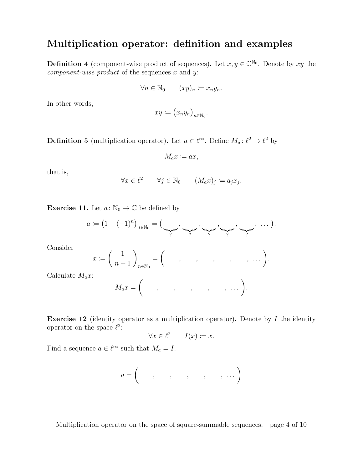## Multiplication operator: definition and examples

**Definition 4** (component-wise product of sequences). Let  $x, y \in \mathbb{C}^{\mathbb{N}_0}$ . Denote by xy the *component-wise product* of the sequences  $x$  and  $y$ :

$$
\forall n \in \mathbb{N}_0 \qquad (xy)_n \coloneqq x_n y_n.
$$

In other words,

$$
xy \coloneqq (x_n y_n)_{n \in \mathbb{N}_0}.
$$

**Definition 5** (multiplication operator). Let  $a \in \ell^{\infty}$ . Define  $M_a: \ell^2 \to \ell^2$  by

$$
M_a x \coloneqq ax,
$$

that is,

$$
\forall x \in \ell^2 \qquad \forall j \in \mathbb{N}_0 \qquad (M_a x)_j \coloneqq a_j x_j.
$$

**Exercise 11.** Let  $a: \mathbb{N}_0 \to \mathbb{C}$  be defined by

$$
a := (1 + (-1)^n)_{n \in \mathbb{N}_0} = (\underbrace{\bullet}_{?}, \underbrace{\bullet}_{?}, \underbrace{\bullet}_{?}, \underbrace{\bullet}_{?}, \underbrace{\bullet}_{?}, \dots).
$$

Consider

$$
x \coloneqq \left(\frac{1}{n+1}\right)_{n \in \mathbb{N}_0} = \left(\quad , \quad , \quad , \quad , \quad , \quad \ldots\right).
$$

Calculate  $M_a x$ :

$$
M_a x = \begin{pmatrix} \cdot & \cdot & \cdot & \cdot & \cdot \\ \cdot & \cdot & \cdot & \cdot & \cdot \\ \cdot & \cdot & \cdot & \cdot & \cdot \end{pmatrix}.
$$

**Exercise 12** (identity operator as a multiplication operator). Denote by  $I$  the identity operator on the space  $\ell^2$ :

$$
\forall x \in \ell^2 \qquad I(x) \coloneqq x.
$$

Find a sequence  $a \in \ell^{\infty}$  such that  $M_a = I$ .

$$
a=\left(\begin{array}{cccccc}\cdot&\cdot&\cdot&\cdot&\cdot&\cdot&\cdot&\cdot\end{array}\right)
$$

Multiplication operator on the space of square-summable sequences, page 4 of 10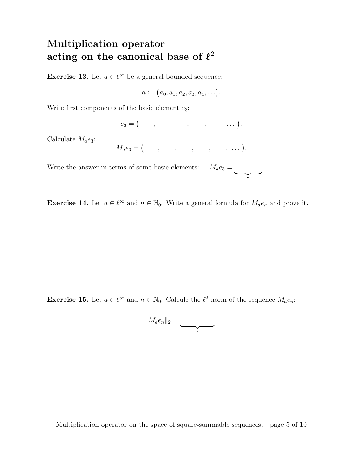# Multiplication operator acting on the canonical base of  $\ell^2$

**Exercise 13.** Let  $a \in \ell^{\infty}$  be a general bounded sequence:

$$
a \coloneqq (a_0, a_1, a_2, a_3, a_4, \ldots).
$$

Write first components of the basic element  $e_3$ :

e<sup>3</sup> = , , , , , . . . .

Calculate  $M_a e_3$ :

$$
M_a e_3 = (\qquad , \qquad , \qquad , \qquad , \qquad , \qquad ).
$$

Write the answer in terms of some basic elements:  $M_a e_3 =$  $\overline{?}$ .

**Exercise 14.** Let  $a \in \ell^{\infty}$  and  $n \in \mathbb{N}_0$ . Write a general formula for  $M_a e_n$  and prove it.

**Exercise 15.** Let  $a \in \ell^{\infty}$  and  $n \in \mathbb{N}_0$ . Calcule the  $\ell^2$ -norm of the sequence  $M_a e_n$ :

$$
||M_a e_n||_2 = \underbrace{\qquad \qquad }_{?}.
$$

Multiplication operator on the space of square-summable sequences, page 5 of 10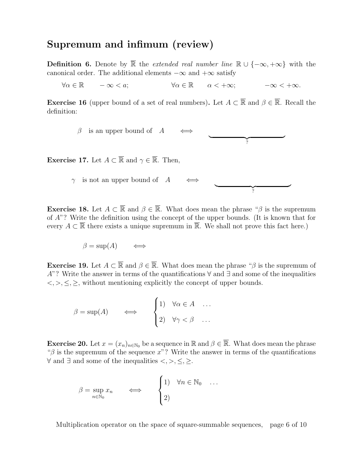### Supremum and infimum (review)

**Definition 6.** Denote by  $\overline{\mathbb{R}}$  the *extended real number line*  $\mathbb{R} \cup \{-\infty, +\infty\}$  with the canonical order. The additional elements  $-\infty$  and  $+\infty$  satisfy

 $\forall \alpha \in \mathbb{R}$   $-\infty < a$ ;  $\forall \alpha \in \mathbb{R}$   $\alpha < +\infty$ ;  $-\infty < +\infty$ .

**Exercise 16** (upper bound of a set of real numbers). Let  $A \subset \overline{\mathbb{R}}$  and  $\beta \in \overline{\mathbb{R}}$ . Recall the definition:

> $\beta$  is an upper bound of A  $\frac{1}{2}$ ?

**Exercise 17.** Let  $A \subset \overline{\mathbb{R}}$  and  $\gamma \in \overline{\mathbb{R}}$ . Then,

 $\gamma$  is not an upper bound of A  $\frac{1}{2}$ ?

**Exercise 18.** Let  $A \subset \overline{\mathbb{R}}$  and  $\beta \in \overline{\mathbb{R}}$ . What does mean the phrase " $\beta$  is the supremum of A"? Write the definition using the concept of the upper bounds. (It is known that for every  $A \subset \overline{\mathbb{R}}$  there exists a unique supremum in  $\overline{\mathbb{R}}$ . We shall not prove this fact here.)

$$
\beta = \sup(A) \qquad \Longleftrightarrow
$$

**Exercise 19.** Let  $A \subset \overline{\mathbb{R}}$  and  $\beta \in \overline{\mathbb{R}}$ . What does mean the phrase " $\beta$  is the supremum of A"? Write the answer in terms of the quantifications  $\forall$  and  $\exists$  and some of the inequalities  $\langle \xi, \xi, \xi \rangle$ , without mentioning explicitly the concept of upper bounds.

$$
\beta = \sup(A) \qquad \Longleftrightarrow \qquad \begin{cases} 1 & \forall \alpha \in A & \dots \\ 2 & \forall \gamma < \beta & \dots \end{cases}
$$

**Exercise 20.** Let  $x = (x_n)_{n \in \mathbb{N}_0}$  be a sequence in  $\mathbb{R}$  and  $\beta \in \overline{\mathbb{R}}$ . What does mean the phrase " $\beta$  is the supremum of the sequence x"? Write the answer in terms of the quantifications  $\forall$  and ∃ and some of the inequalities <, >, ≤, ≥.

$$
\beta = \sup_{n \in \mathbb{N}_0} x_n \qquad \Longleftrightarrow \qquad \begin{cases} 1 & \forall n \in \mathbb{N}_0 & \dots \\ 2 & \end{cases}
$$

Multiplication operator on the space of square-summable sequences, page 6 of 10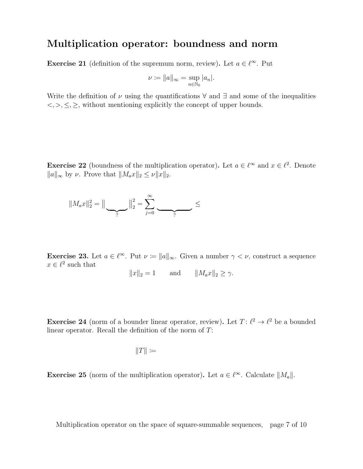### Multiplication operator: boundness and norm

**Exercise 21** (definition of the supremum norm, review). Let  $a \in \ell^{\infty}$ . Put

$$
\nu \coloneqq \|a\|_{\infty} = \sup_{n \in \mathbb{N}_0} |a_n|.
$$

Write the definition of  $\nu$  using the quantifications  $\forall$  and  $\exists$  and some of the inequalities  $\langle \xi, \xi, \xi \rangle$ , without mentioning explicitly the concept of upper bounds.

**Exercise 22** (boundness of the multiplication operator). Let  $a \in \ell^{\infty}$  and  $x \in \ell^2$ . Denote  $||a||_{\infty}$  by  $\nu$ . Prove that  $||M_a x||_2 \leq \nu ||x||_2$ .

$$
||M_{a}x||_{2}^{2} = ||\underbrace{\qquad}_{?}||_{2}^{2} = \sum_{j=0}^{\infty} \underbrace{\qquad}_{?} \leq
$$

**Exercise 23.** Let  $a \in \ell^{\infty}$ . Put  $\nu \coloneqq \|a\|_{\infty}$ . Given a number  $\gamma < \nu$ , construct a sequence  $x \in \ell^2$  such that

$$
||x||_2 = 1 \quad \text{and} \quad ||M_a x||_2 \ge \gamma.
$$

**Exercise 24** (norm of a bounder linear operator, review). Let  $T: \ell^2 \to \ell^2$  be a bounded linear operator. Recall the definition of the norm of T:

$$
||T|| :=
$$

**Exercise 25** (norm of the multiplication operator). Let  $a \in \ell^{\infty}$ . Calculate  $||M_a||$ .

Multiplication operator on the space of square-summable sequences, page 7 of 10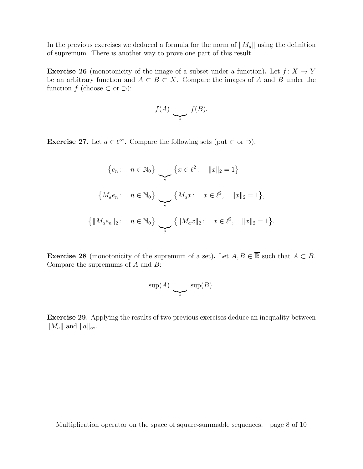In the previous exercises we deduced a formula for the norm of  $||M_a||$  using the definition of supremum. There is another way to prove one part of this result.

**Exercise 26** (monotonicity of the image of a subset under a function). Let  $f: X \to Y$ be an arbitrary function and  $A \subset B \subset X$ . Compare the images of A and B under the function f (choose  $\subset$  or  $\supset$ ):

$$
f(A) \sum_{?} f(B).
$$

**Exercise 27.** Let  $a \in \ell^{\infty}$ . Compare the following sets (put  $\subset$  or  $\supset$ ):

$$
\{e_n: n \in \mathbb{N}_0\} \longrightarrow \{x \in \ell^2: ||x||_2 = 1\}
$$
  

$$
\{M_a e_n: n \in \mathbb{N}_0\} \longrightarrow \{M_a x: x \in \ell^2, ||x||_2 = 1\},\
$$
  

$$
\{||M_a e_n||_2: n \in \mathbb{N}_0\} \longrightarrow \{||M_a x||_2: x \in \ell^2, ||x||_2 = 1\}.
$$

**Exercise 28** (monotonicity of the supremum of a set). Let  $A, B \in \overline{\mathbb{R}}$  such that  $A \subset B$ . Compare the supremums of  $A$  and  $B$ :

$$
\sup(A) \sum_{?} \sup(B).
$$

Exercise 29. Applying the results of two previous exercises deduce an inequality between  $||M_a||$  and  $||a||_{\infty}$ .

Multiplication operator on the space of square-summable sequences, page 8 of 10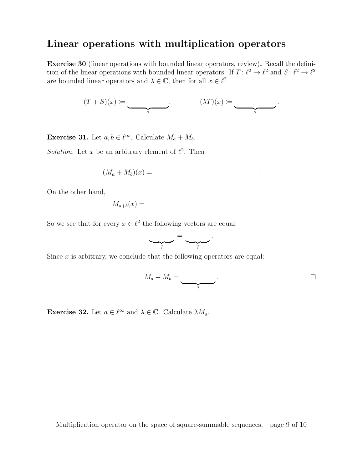### Linear operations with multiplication operators

Exercise 30 (linear operations with bounded linear operators, review). Recall the definition of the linear operations with bounded linear operators. If  $T: \ell^2 \to \ell^2$  and  $S: \ell^2 \to \ell^2$ are bounded linear operators and  $\lambda \in \mathbb{C}$ , then for all  $x \in \ell^2$ 

$$
(T+S)(x) \coloneqq \underbrace{\qquad \qquad}_{?}, \qquad \qquad (\lambda T)(x) \coloneqq \underbrace{\qquad \qquad}_{?}.
$$

**Exercise 31.** Let  $a, b \in \ell^{\infty}$ . Calculate  $M_a + M_b$ .

Solution. Let x be an arbitrary element of  $\ell^2$ . Then

$$
(M_a + M_b)(x) = \qquad \qquad .
$$

On the other hand,

$$
M_{a+b}(x) =
$$

So we see that for every  $x \in \ell^2$  the following vectors are equal:

$$
\underbrace{\qquad \qquad }_{?} = \underbrace{\qquad \qquad }_{?}.
$$

Since  $x$  is arbitrary, we conclude that the following operators are equal:

$$
M_a + M_b = \underbrace{\qquad \qquad }_{?}.
$$

**Exercise 32.** Let  $a \in \ell^{\infty}$  and  $\lambda \in \mathbb{C}$ . Calculate  $\lambda M_a$ .

Multiplication operator on the space of square-summable sequences, page 9 of 10